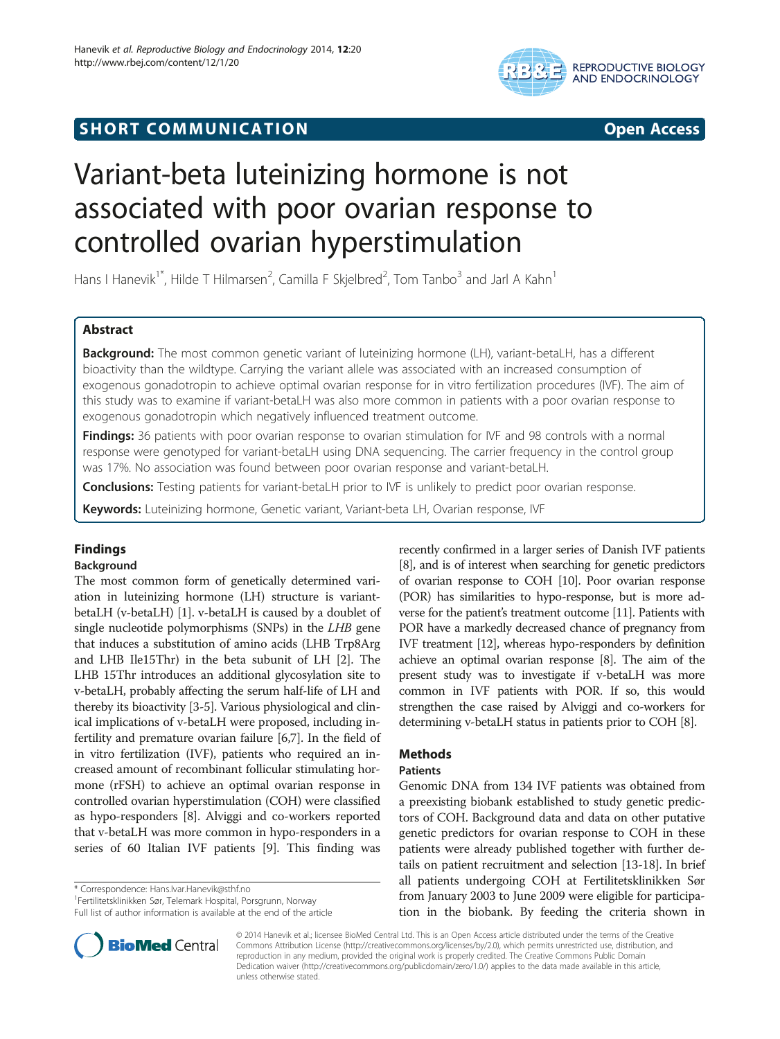



# Variant-beta luteinizing hormone is not associated with poor ovarian response to controlled ovarian hyperstimulation

Hans I Hanevik<sup>1\*</sup>, Hilde T Hilmarsen<sup>2</sup>, Camilla F Skjelbred<sup>2</sup>, Tom Tanbo<sup>3</sup> and Jarl A Kahn<sup>1</sup>

# Abstract

Background: The most common genetic variant of luteinizing hormone (LH), variant-betaLH, has a different bioactivity than the wildtype. Carrying the variant allele was associated with an increased consumption of exogenous gonadotropin to achieve optimal ovarian response for in vitro fertilization procedures (IVF). The aim of this study was to examine if variant-betaLH was also more common in patients with a poor ovarian response to exogenous gonadotropin which negatively influenced treatment outcome.

Findings: 36 patients with poor ovarian response to ovarian stimulation for IVF and 98 controls with a normal response were genotyped for variant-betaLH using DNA sequencing. The carrier frequency in the control group was 17%. No association was found between poor ovarian response and variant-betaLH.

**Conclusions:** Testing patients for variant-betaLH prior to IVF is unlikely to predict poor ovarian response.

Keywords: Luteinizing hormone, Genetic variant, Variant-beta LH, Ovarian response, IVF

# Findings

## Background

The most common form of genetically determined variation in luteinizing hormone (LH) structure is variantbetaLH (v-betaLH) [[1](#page-3-0)]. v-betaLH is caused by a doublet of single nucleotide polymorphisms (SNPs) in the LHB gene that induces a substitution of amino acids (LHB Trp8Arg and LHB Ile15Thr) in the beta subunit of LH [\[2\]](#page-3-0). The LHB 15Thr introduces an additional glycosylation site to v-betaLH, probably affecting the serum half-life of LH and thereby its bioactivity [\[3](#page-3-0)-[5\]](#page-3-0). Various physiological and clinical implications of v-betaLH were proposed, including infertility and premature ovarian failure [\[6,7\]](#page-3-0). In the field of in vitro fertilization (IVF), patients who required an increased amount of recombinant follicular stimulating hormone (rFSH) to achieve an optimal ovarian response in controlled ovarian hyperstimulation (COH) were classified as hypo-responders [[8\]](#page-3-0). Alviggi and co-workers reported that v-betaLH was more common in hypo-responders in a series of 60 Italian IVF patients [\[9](#page-3-0)]. This finding was

\* Correspondence: [Hans.Ivar.Hanevik@sthf.no](mailto:Hans.Ivar.Hanevik@sthf.no) <sup>1</sup>

Fertilitetsklinikken Sør, Telemark Hospital, Porsgrunn, Norway Full list of author information is available at the end of the article



# Methods

## Patients

Genomic DNA from 134 IVF patients was obtained from a preexisting biobank established to study genetic predictors of COH. Background data and data on other putative genetic predictors for ovarian response to COH in these patients were already published together with further details on patient recruitment and selection [[13](#page-3-0)-[18](#page-3-0)]. In brief all patients undergoing COH at Fertilitetsklinikken Sør from January 2003 to June 2009 were eligible for participation in the biobank. By feeding the criteria shown in



© 2014 Hanevik et al.; licensee BioMed Central Ltd. This is an Open Access article distributed under the terms of the Creative Commons Attribution License [\(http://creativecommons.org/licenses/by/2.0\)](http://creativecommons.org/licenses/by/2.0), which permits unrestricted use, distribution, and reproduction in any medium, provided the original work is properly credited. The Creative Commons Public Domain Dedication waiver [\(http://creativecommons.org/publicdomain/zero/1.0/](http://creativecommons.org/publicdomain/zero/1.0/)) applies to the data made available in this article, unless otherwise stated.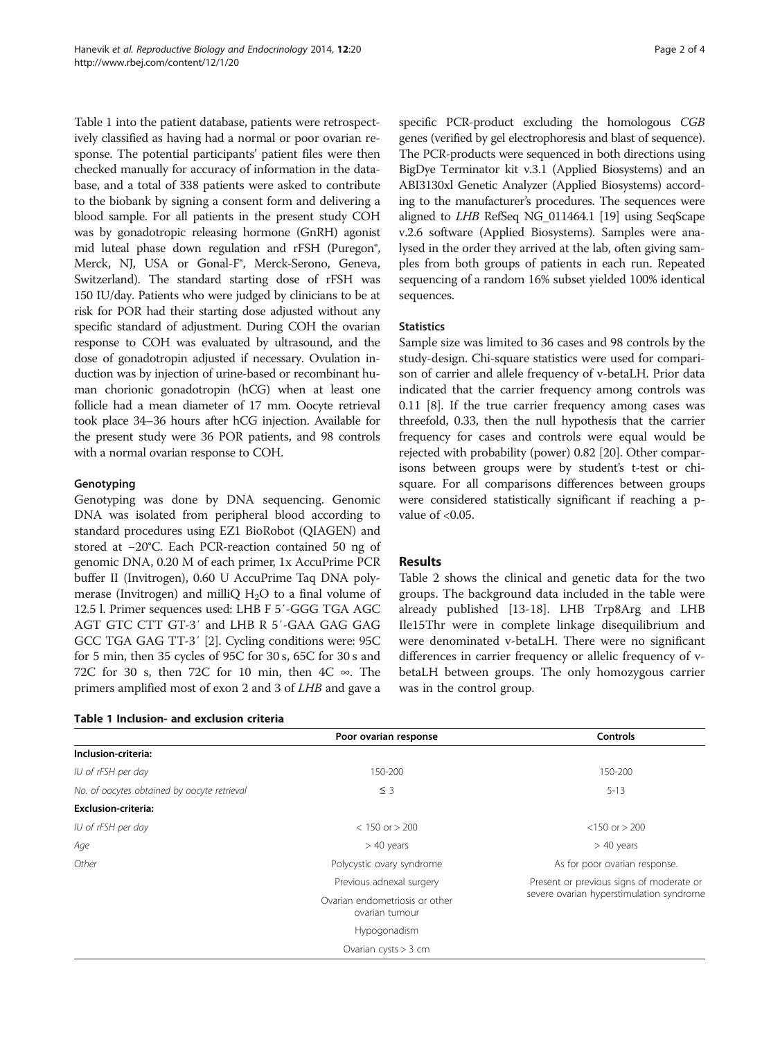<span id="page-1-0"></span>Table 1 into the patient database, patients were retrospectively classified as having had a normal or poor ovarian response. The potential participants' patient files were then checked manually for accuracy of information in the database, and a total of 338 patients were asked to contribute to the biobank by signing a consent form and delivering a blood sample. For all patients in the present study COH was by gonadotropic releasing hormone (GnRH) agonist mid luteal phase down regulation and rFSH (Puregon®, Merck, NJ, USA or Gonal-F®, Merck-Serono, Geneva, Switzerland). The standard starting dose of rFSH was 150 IU/day. Patients who were judged by clinicians to be at risk for POR had their starting dose adjusted without any specific standard of adjustment. During COH the ovarian response to COH was evaluated by ultrasound, and the dose of gonadotropin adjusted if necessary. Ovulation induction was by injection of urine-based or recombinant human chorionic gonadotropin (hCG) when at least one follicle had a mean diameter of 17 mm. Oocyte retrieval took place 34–36 hours after hCG injection. Available for the present study were 36 POR patients, and 98 controls with a normal ovarian response to COH.

## Genotyping

Genotyping was done by DNA sequencing. Genomic DNA was isolated from peripheral blood according to standard procedures using EZ1 BioRobot (QIAGEN) and stored at −20°C. Each PCR-reaction contained 50 ng of genomic DNA, 0.20 M of each primer, 1x AccuPrime PCR buffer II (Invitrogen), 0.60 U AccuPrime Taq DNA polymerase (Invitrogen) and milliQ  $H_2O$  to a final volume of 12.5 l. Primer sequences used: LHB F 5′-GGG TGA AGC AGT GTC CTT GT-3′ and LHB R 5′-GAA GAG GAG GCC TGA GAG TT-3′ [\[2\]](#page-3-0). Cycling conditions were: 95C for 5 min, then 35 cycles of 95C for 30 s, 65C for 30 s and 72C for 30 s, then 72C for 10 min, then  $4C \approx$ . The primers amplified most of exon 2 and 3 of LHB and gave a

|  | Table 1 Inclusion- and exclusion criteria |
|--|-------------------------------------------|
|--|-------------------------------------------|

specific PCR-product excluding the homologous CGB genes (verified by gel electrophoresis and blast of sequence). The PCR-products were sequenced in both directions using BigDye Terminator kit v.3.1 (Applied Biosystems) and an ABI3130xl Genetic Analyzer (Applied Biosystems) according to the manufacturer's procedures. The sequences were aligned to LHB RefSeq NG\_011464.1 [\[19](#page-3-0)] using SeqScape v.2.6 software (Applied Biosystems). Samples were analysed in the order they arrived at the lab, often giving samples from both groups of patients in each run. Repeated sequencing of a random 16% subset yielded 100% identical sequences.

# **Statistics**

Sample size was limited to 36 cases and 98 controls by the study-design. Chi-square statistics were used for comparison of carrier and allele frequency of v-betaLH. Prior data indicated that the carrier frequency among controls was 0.11 [[8\]](#page-3-0). If the true carrier frequency among cases was threefold, 0.33, then the null hypothesis that the carrier frequency for cases and controls were equal would be rejected with probability (power) 0.82 [[20](#page-3-0)]. Other comparisons between groups were by student's t-test or chisquare. For all comparisons differences between groups were considered statistically significant if reaching a pvalue of  $< 0.05$ .

# Results

Table [2](#page-2-0) shows the clinical and genetic data for the two groups. The background data included in the table were already published [\[13](#page-3-0)-[18\]](#page-3-0). LHB Trp8Arg and LHB Ile15Thr were in complete linkage disequilibrium and were denominated v-betaLH. There were no significant differences in carrier frequency or allelic frequency of vbetaLH between groups. The only homozygous carrier was in the control group.

|                                             | Poor ovarian response                            | <b>Controls</b>                          |  |
|---------------------------------------------|--------------------------------------------------|------------------------------------------|--|
| Inclusion-criteria:                         |                                                  |                                          |  |
| IU of rFSH per day                          | 150-200                                          | 150-200                                  |  |
| No. of oocytes obtained by oocyte retrieval | $\leq$ 3                                         | $5 - 13$                                 |  |
| <b>Exclusion-criteria:</b>                  |                                                  |                                          |  |
| IU of rFSH per day                          | $< 150$ or $> 200$                               | $< 150$ or $> 200$                       |  |
| Age                                         | $> 40$ years                                     | $> 40$ years                             |  |
| Other                                       | Polycystic ovary syndrome                        | As for poor ovarian response.            |  |
|                                             | Previous adnexal surgery                         | Present or previous signs of moderate or |  |
|                                             | Ovarian endometriosis or other<br>ovarian tumour | severe ovarian hyperstimulation syndrome |  |
|                                             | Hypogonadism                                     |                                          |  |
|                                             | Ovarian cysts $>$ 3 cm                           |                                          |  |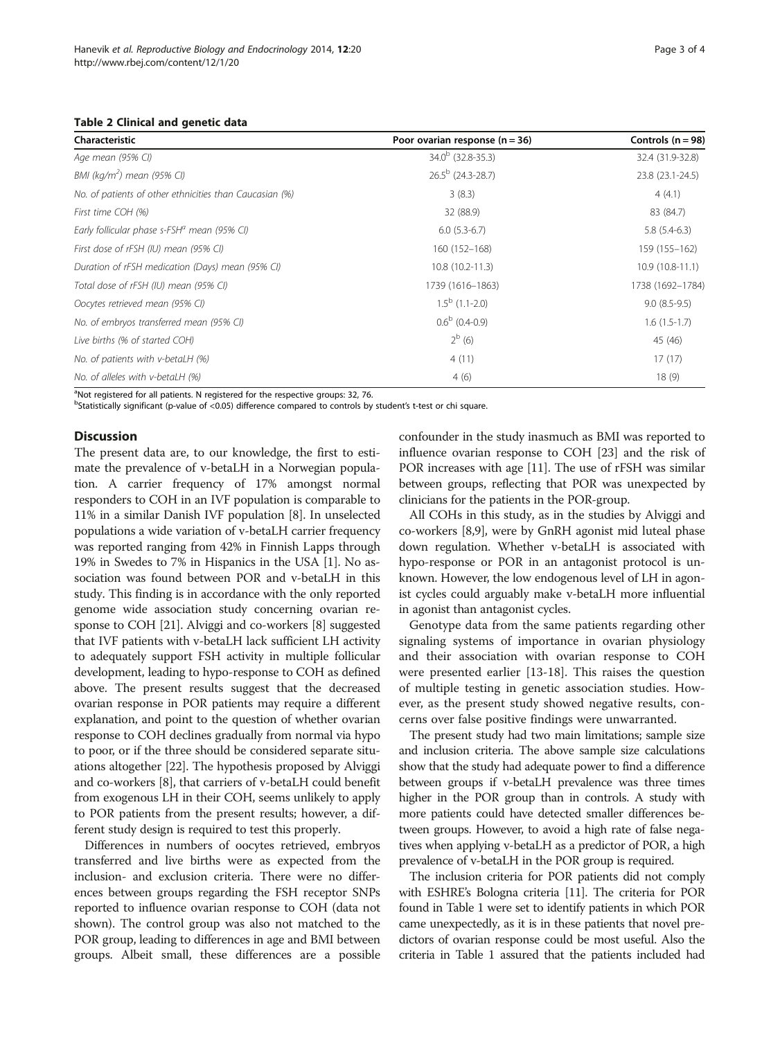## <span id="page-2-0"></span>Table 2 Clinical and genetic data

| Characteristic                                          | Poor ovarian response ( $n = 36$ ) | Controls $(n = 98)$ |
|---------------------------------------------------------|------------------------------------|---------------------|
| Age mean (95% CI)                                       | $34.0^{b}$ (32.8-35.3)             | 32.4 (31.9-32.8)    |
| BMI (kg/m <sup>2</sup> ) mean (95% CI)                  | $26.5^{\mathrm{b}}$ (24.3-28.7)    | 23.8 (23.1-24.5)    |
| No. of patients of other ethnicities than Caucasian (%) | 3(8.3)                             | 4(4.1)              |
| First time COH (%)                                      | 32 (88.9)                          | 83 (84.7)           |
| Early follicular phase s-FSH $^a$ mean (95% CI)         | $6.0$ (5.3-6.7)                    | $5.8(5.4-6.3)$      |
| First dose of rFSH (IU) mean (95% CI)                   | 160 (152-168)                      | 159 (155-162)       |
| Duration of rFSH medication (Days) mean (95% CI)        | $10.8(10.2 - 11.3)$                | $10.9(10.8-11.1)$   |
| Total dose of rFSH (IU) mean (95% CI)                   | 1739 (1616-1863)                   | 1738 (1692-1784)    |
| Oocytes retrieved mean (95% CI)                         | $1.5b$ (1.1-2.0)                   | $9.0(8.5-9.5)$      |
| No. of embryos transferred mean (95% CI)                | $0.6^{\rm b}$ (0.4-0.9)            | $1.6(1.5-1.7)$      |
| Live births (% of started COH)                          | $2^{b}$ (6)                        | 45 (46)             |
| No. of patients with v-betaLH (%)                       | 4(11)                              | 17(17)              |
| No. of alleles with v-betaLH (%)                        | 4(6)                               | 18(9)               |

<sup>a</sup>Not registered for all patients. N registered for the respective groups: 32, 76.

<sup>b</sup>Statistically significant (p-value of <0.05) difference compared to controls by student's t-test or chi square.

## **Discussion**

The present data are, to our knowledge, the first to estimate the prevalence of v-betaLH in a Norwegian population. A carrier frequency of 17% amongst normal responders to COH in an IVF population is comparable to 11% in a similar Danish IVF population [\[8](#page-3-0)]. In unselected populations a wide variation of v-betaLH carrier frequency was reported ranging from 42% in Finnish Lapps through 19% in Swedes to 7% in Hispanics in the USA [\[1](#page-3-0)]. No association was found between POR and v-betaLH in this study. This finding is in accordance with the only reported genome wide association study concerning ovarian response to COH [\[21\]](#page-3-0). Alviggi and co-workers [\[8](#page-3-0)] suggested that IVF patients with v-betaLH lack sufficient LH activity to adequately support FSH activity in multiple follicular development, leading to hypo-response to COH as defined above. The present results suggest that the decreased ovarian response in POR patients may require a different explanation, and point to the question of whether ovarian response to COH declines gradually from normal via hypo to poor, or if the three should be considered separate situations altogether [\[22\]](#page-3-0). The hypothesis proposed by Alviggi and co-workers [\[8](#page-3-0)], that carriers of v-betaLH could benefit from exogenous LH in their COH, seems unlikely to apply to POR patients from the present results; however, a different study design is required to test this properly.

Differences in numbers of oocytes retrieved, embryos transferred and live births were as expected from the inclusion- and exclusion criteria. There were no differences between groups regarding the FSH receptor SNPs reported to influence ovarian response to COH (data not shown). The control group was also not matched to the POR group, leading to differences in age and BMI between groups. Albeit small, these differences are a possible confounder in the study inasmuch as BMI was reported to influence ovarian response to COH [\[23\]](#page-3-0) and the risk of POR increases with age [[11](#page-3-0)]. The use of rFSH was similar between groups, reflecting that POR was unexpected by clinicians for the patients in the POR-group.

All COHs in this study, as in the studies by Alviggi and co-workers [[8,9](#page-3-0)], were by GnRH agonist mid luteal phase down regulation. Whether v-betaLH is associated with hypo-response or POR in an antagonist protocol is unknown. However, the low endogenous level of LH in agonist cycles could arguably make v-betaLH more influential in agonist than antagonist cycles.

Genotype data from the same patients regarding other signaling systems of importance in ovarian physiology and their association with ovarian response to COH were presented earlier [[13-18](#page-3-0)]. This raises the question of multiple testing in genetic association studies. However, as the present study showed negative results, concerns over false positive findings were unwarranted.

The present study had two main limitations; sample size and inclusion criteria. The above sample size calculations show that the study had adequate power to find a difference between groups if v-betaLH prevalence was three times higher in the POR group than in controls. A study with more patients could have detected smaller differences between groups. However, to avoid a high rate of false negatives when applying v-betaLH as a predictor of POR, a high prevalence of v-betaLH in the POR group is required.

The inclusion criteria for POR patients did not comply with ESHRE's Bologna criteria [\[11\]](#page-3-0). The criteria for POR found in Table [1](#page-1-0) were set to identify patients in which POR came unexpectedly, as it is in these patients that novel predictors of ovarian response could be most useful. Also the criteria in Table [1](#page-1-0) assured that the patients included had